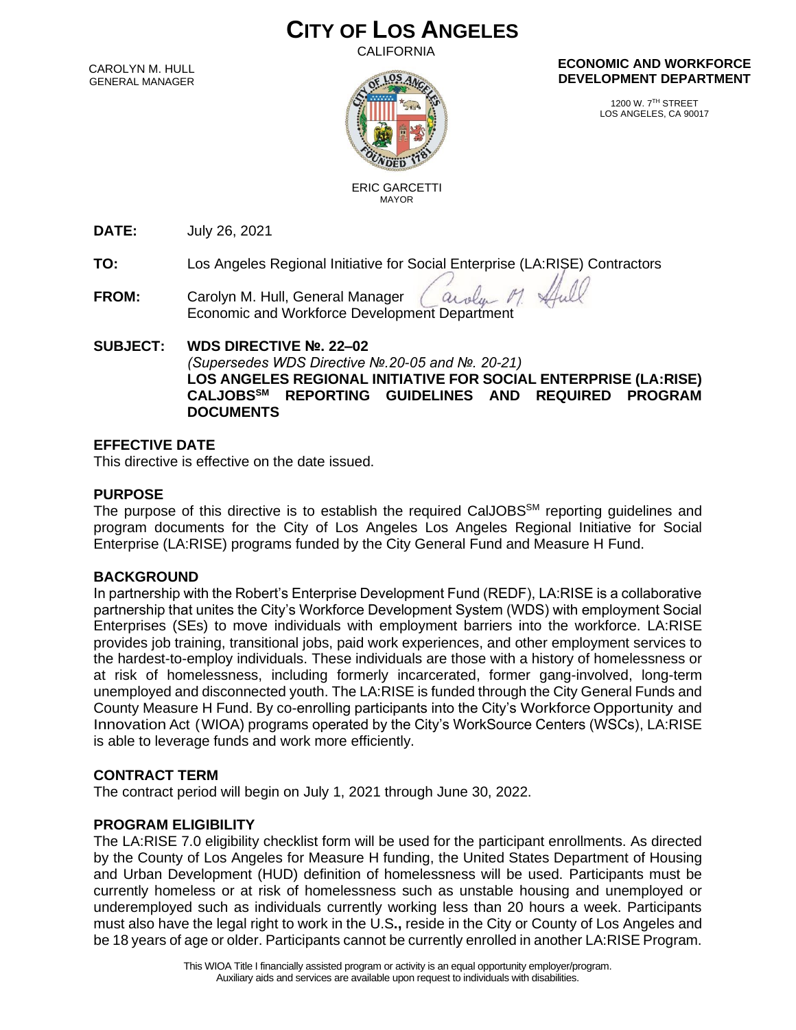# **CITY OF LOS ANGELES**

CALIFORNIA

CAROLYN M. HULL GENERAL MANAGER



#### **ECONOMIC AND WORKFORCE DEVELOPMENT DEPARTMENT**

1200 W. 7TH STREET LOS ANGELES, CA 90017

 ERIC GARCETTI MAYOR

**DATE:** July 26, 2021

**TO:** Los Angeles Regional Initiative for Social Enterprise (LA:RISE) Contractors

**FROM:** Carolyn M. Hull, General Manager aroly Economic and Workforce Development Department

## **SUBJECT: WDS DIRECTIVE №. 22–02** *(Supersedes WDS Directive №.20-05 and №. 20-21)* **LOS ANGELES REGIONAL INITIATIVE FOR SOCIAL ENTERPRISE (LA:RISE) CALJOBSSM REPORTING GUIDELINES AND REQUIRED PROGRAM DOCUMENTS**

## **EFFECTIVE DATE**

This directive is effective on the date issued.

## **PURPOSE**

The purpose of this directive is to establish the required CalJOBS<sup>SM</sup> reporting guidelines and program documents for the City of Los Angeles Los Angeles Regional Initiative for Social Enterprise (LA:RISE) programs funded by the City General Fund and Measure H Fund.

## **BACKGROUND**

In partnership with the Robert's Enterprise Development Fund (REDF), LA:RISE is a collaborative partnership that unites the City's Workforce Development System (WDS) with employment Social Enterprises (SEs) to move individuals with employment barriers into the workforce. LA:RISE provides job training, transitional jobs, paid work experiences, and other employment services to the hardest-to-employ individuals. These individuals are those with a history of homelessness or at risk of homelessness, including formerly incarcerated, former gang-involved, long-term unemployed and disconnected youth. The LA:RISE is funded through the City General Funds and County Measure H Fund. By co-enrolling participants into the City's Workforce Opportunity and Innovation Act (WIOA) programs operated by the City's WorkSource Centers (WSCs), LA:RISE is able to leverage funds and work more efficiently.

## **CONTRACT TERM**

The contract period will begin on July 1, 2021 through June 30, 2022.

## **PROGRAM ELIGIBILITY**

The LA:RISE 7.0 eligibility checklist form will be used for the participant enrollments. As directed by the County of Los Angeles for Measure H funding, the United States Department of Housing and Urban Development (HUD) definition of homelessness will be used. Participants must be currently homeless or at risk of homelessness such as unstable housing and unemployed or underemployed such as individuals currently working less than 20 hours a week. Participants must also have the legal right to work in the U.S**.,** reside in the City or County of Los Angeles and be 18 years of age or older. Participants cannot be currently enrolled in another LA:RISE Program.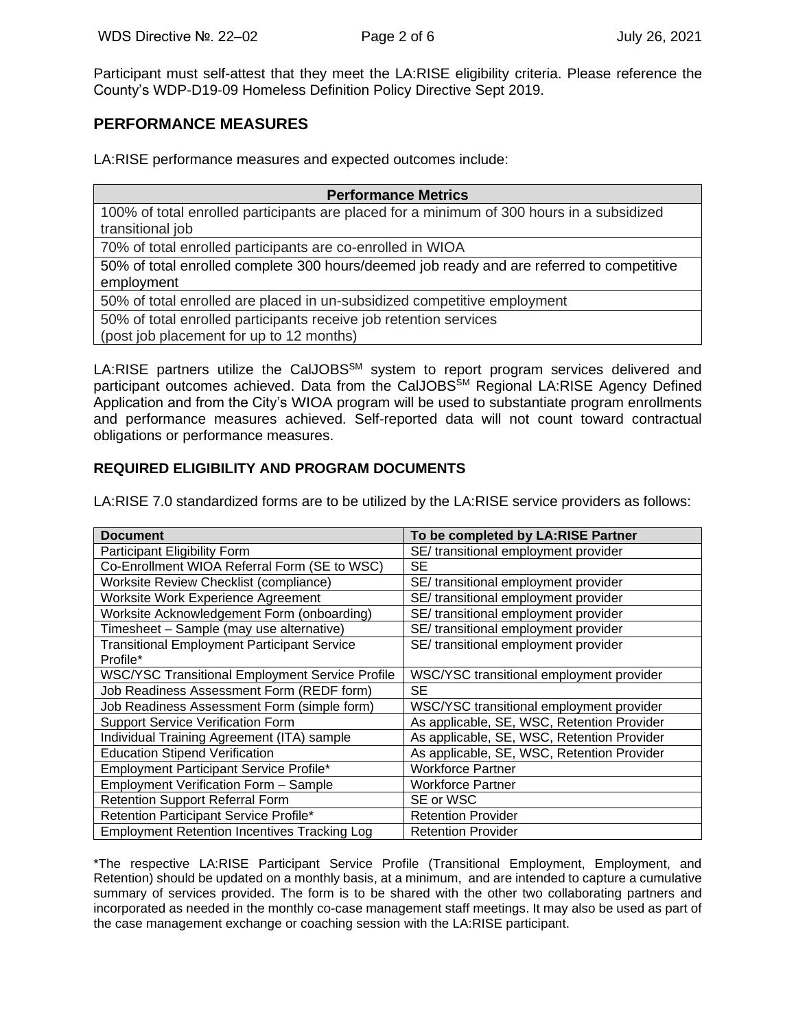Participant must self-attest that they meet the LA:RISE eligibility criteria. Please reference the County's WDP-D19-09 Homeless Definition Policy Directive Sept 2019.

## **PERFORMANCE MEASURES**

LA:RISE performance measures and expected outcomes include:

| <b>Performance Metrics</b>                                                                |  |  |  |
|-------------------------------------------------------------------------------------------|--|--|--|
| 100% of total enrolled participants are placed for a minimum of 300 hours in a subsidized |  |  |  |
| transitional job                                                                          |  |  |  |
| 70% of total enrolled participants are co-enrolled in WIOA                                |  |  |  |
| 50% of total enrolled complete 300 hours/deemed job ready and are referred to competitive |  |  |  |
| employment                                                                                |  |  |  |
| 50% of total enrolled are placed in un-subsidized competitive employment                  |  |  |  |
| 50% of total enrolled participants receive job retention services                         |  |  |  |
| (post job placement for up to 12 months)                                                  |  |  |  |

LA:RISE partners utilize the CalJOBS<sup>SM</sup> system to report program services delivered and participant outcomes achieved. Data from the CalJOBS<sup>SM</sup> Regional LA:RISE Agency Defined Application and from the City's WIOA program will be used to substantiate program enrollments and performance measures achieved. Self-reported data will not count toward contractual obligations or performance measures.

## **REQUIRED ELIGIBILITY AND PROGRAM DOCUMENTS**

LA:RISE 7.0 standardized forms are to be utilized by the LA:RISE service providers as follows:

| <b>Document</b>                                        | To be completed by LA:RISE Partner         |
|--------------------------------------------------------|--------------------------------------------|
| Participant Eligibility Form                           | SE/ transitional employment provider       |
| Co-Enrollment WIOA Referral Form (SE to WSC)           | SE                                         |
| Worksite Review Checklist (compliance)                 | SE/ transitional employment provider       |
| Worksite Work Experience Agreement                     | SE/ transitional employment provider       |
| Worksite Acknowledgement Form (onboarding)             | SE/ transitional employment provider       |
| Timesheet - Sample (may use alternative)               | SE/ transitional employment provider       |
| <b>Transitional Employment Participant Service</b>     | SE/ transitional employment provider       |
| Profile*                                               |                                            |
| <b>WSC/YSC Transitional Employment Service Profile</b> | WSC/YSC transitional employment provider   |
| Job Readiness Assessment Form (REDF form)              | <b>SE</b>                                  |
| Job Readiness Assessment Form (simple form)            | WSC/YSC transitional employment provider   |
| <b>Support Service Verification Form</b>               | As applicable, SE, WSC, Retention Provider |
| Individual Training Agreement (ITA) sample             | As applicable, SE, WSC, Retention Provider |
| <b>Education Stipend Verification</b>                  | As applicable, SE, WSC, Retention Provider |
| Employment Participant Service Profile*                | <b>Workforce Partner</b>                   |
| <b>Employment Verification Form - Sample</b>           | Workforce Partner                          |
| <b>Retention Support Referral Form</b>                 | SE or WSC                                  |
| Retention Participant Service Profile*                 | <b>Retention Provider</b>                  |
| <b>Employment Retention Incentives Tracking Log</b>    | <b>Retention Provider</b>                  |

\*The respective LA:RISE Participant Service Profile (Transitional Employment, Employment, and Retention) should be updated on a monthly basis, at a minimum, and are intended to capture a cumulative summary of services provided. The form is to be shared with the other two collaborating partners and incorporated as needed in the monthly co-case management staff meetings. It may also be used as part of the case management exchange or coaching session with the LA:RISE participant.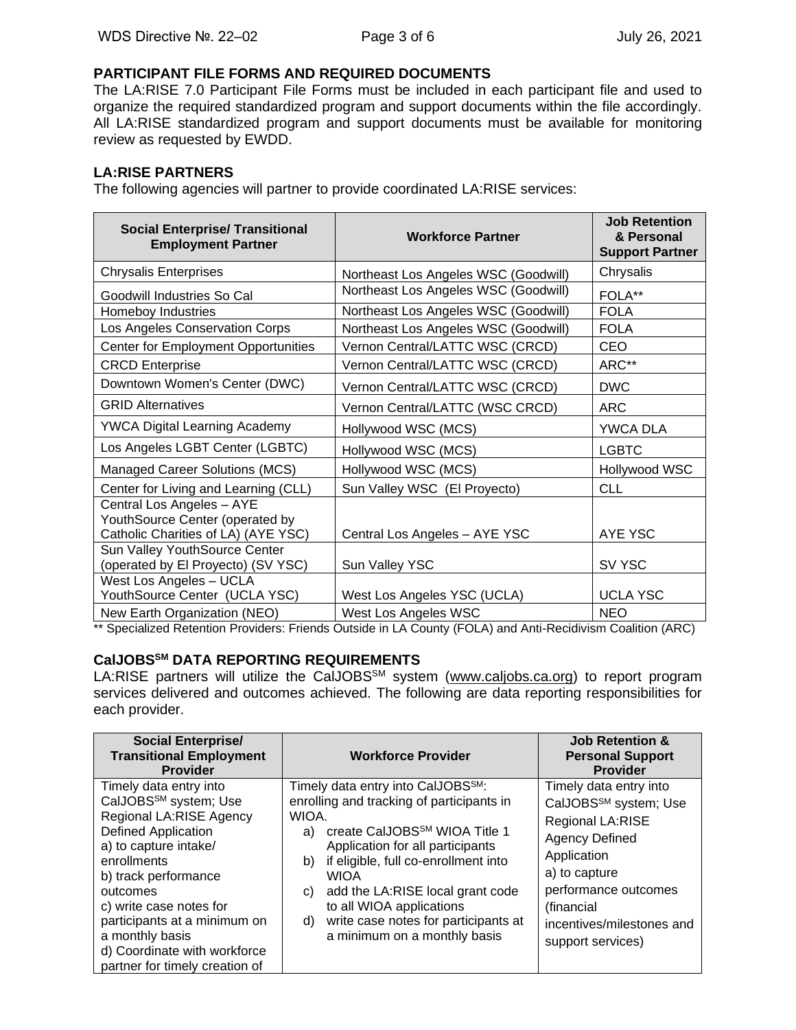## **PARTICIPANT FILE FORMS AND REQUIRED DOCUMENTS**

The LA:RISE 7.0 Participant File Forms must be included in each participant file and used to organize the required standardized program and support documents within the file accordingly. All LA:RISE standardized program and support documents must be available for monitoring review as requested by EWDD.

## **LA:RISE PARTNERS**

The following agencies will partner to provide coordinated LA:RISE services:

| <b>Social Enterprise/ Transitional</b><br><b>Employment Partner</b> | <b>Workforce Partner</b>             | <b>Job Retention</b><br>& Personal<br><b>Support Partner</b> |
|---------------------------------------------------------------------|--------------------------------------|--------------------------------------------------------------|
| <b>Chrysalis Enterprises</b>                                        | Northeast Los Angeles WSC (Goodwill) | Chrysalis                                                    |
| Goodwill Industries So Cal                                          | Northeast Los Angeles WSC (Goodwill) | FOLA**                                                       |
| Homeboy Industries                                                  | Northeast Los Angeles WSC (Goodwill) | <b>FOLA</b>                                                  |
| Los Angeles Conservation Corps                                      | Northeast Los Angeles WSC (Goodwill) | <b>FOLA</b>                                                  |
| <b>Center for Employment Opportunities</b>                          | Vernon Central/LATTC WSC (CRCD)      | <b>CEO</b>                                                   |
| <b>CRCD Enterprise</b>                                              | Vernon Central/LATTC WSC (CRCD)      | ARC**                                                        |
| Downtown Women's Center (DWC)                                       | Vernon Central/LATTC WSC (CRCD)      | <b>DWC</b>                                                   |
| <b>GRID Alternatives</b>                                            | Vernon Central/LATTC (WSC CRCD)      | <b>ARC</b>                                                   |
| <b>YWCA Digital Learning Academy</b>                                | Hollywood WSC (MCS)                  | YWCA DLA                                                     |
| Los Angeles LGBT Center (LGBTC)                                     | Hollywood WSC (MCS)                  | <b>LGBTC</b>                                                 |
| Managed Career Solutions (MCS)                                      | Hollywood WSC (MCS)                  | Hollywood WSC                                                |
| Center for Living and Learning (CLL)                                | Sun Valley WSC (El Proyecto)         | <b>CLL</b>                                                   |
| Central Los Angeles - AYE<br>YouthSource Center (operated by        |                                      |                                                              |
| Catholic Charities of LA) (AYE YSC)                                 | Central Los Angeles - AYE YSC        | AYE YSC                                                      |
| Sun Valley YouthSource Center                                       |                                      |                                                              |
| (operated by El Proyecto) (SV YSC)                                  | Sun Valley YSC                       | SV YSC                                                       |
| West Los Angeles - UCLA                                             |                                      |                                                              |
| YouthSource Center (UCLA YSC)                                       | West Los Angeles YSC (UCLA)          | <b>UCLA YSC</b>                                              |
| New Earth Organization (NEO)                                        | West Los Angeles WSC                 | <b>NEO</b>                                                   |

\*\* Specialized Retention Providers: Friends Outside in LA County (FOLA) and Anti-Recidivism Coalition (ARC)

## **CalJOBSSM DATA REPORTING REQUIREMENTS**

LA:RISE partners will utilize the CalJOBS<sup>SM</sup> system [\(www.caljobs.ca.org\)](http://www.caljobs.ca.org/) to report program services delivered and outcomes achieved. The following are data reporting responsibilities for each provider.

| <b>Social Enterprise/</b><br><b>Transitional Employment</b><br><b>Provider</b>                                                                                                                                                                                                                                                                   | <b>Workforce Provider</b>                                                                                                                                                                                                                                                                                                                                                                                    | <b>Job Retention &amp;</b><br><b>Personal Support</b><br><b>Provider</b>                                                                                                                                                         |
|--------------------------------------------------------------------------------------------------------------------------------------------------------------------------------------------------------------------------------------------------------------------------------------------------------------------------------------------------|--------------------------------------------------------------------------------------------------------------------------------------------------------------------------------------------------------------------------------------------------------------------------------------------------------------------------------------------------------------------------------------------------------------|----------------------------------------------------------------------------------------------------------------------------------------------------------------------------------------------------------------------------------|
| Timely data entry into<br>CalJOBS <sup>SM</sup> system; Use<br>Regional LA:RISE Agency<br><b>Defined Application</b><br>a) to capture intake/<br>enrollments<br>b) track performance<br>outcomes<br>c) write case notes for<br>participants at a minimum on<br>a monthly basis<br>d) Coordinate with workforce<br>partner for timely creation of | Timely data entry into CalJOBS <sup>SM</sup> :<br>enrolling and tracking of participants in<br>WIOA.<br>create CalJOBS <sup>SM</sup> WIOA Title 1<br>a)<br>Application for all participants<br>if eligible, full co-enrollment into<br>b)<br><b>WIOA</b><br>add the LA:RISE local grant code<br>C)<br>to all WIOA applications<br>write case notes for participants at<br>d)<br>a minimum on a monthly basis | Timely data entry into<br>CalJOBS <sup>SM</sup> system; Use<br>Regional LA:RISE<br><b>Agency Defined</b><br>Application<br>a) to capture<br>performance outcomes<br>(financial<br>incentives/milestones and<br>support services) |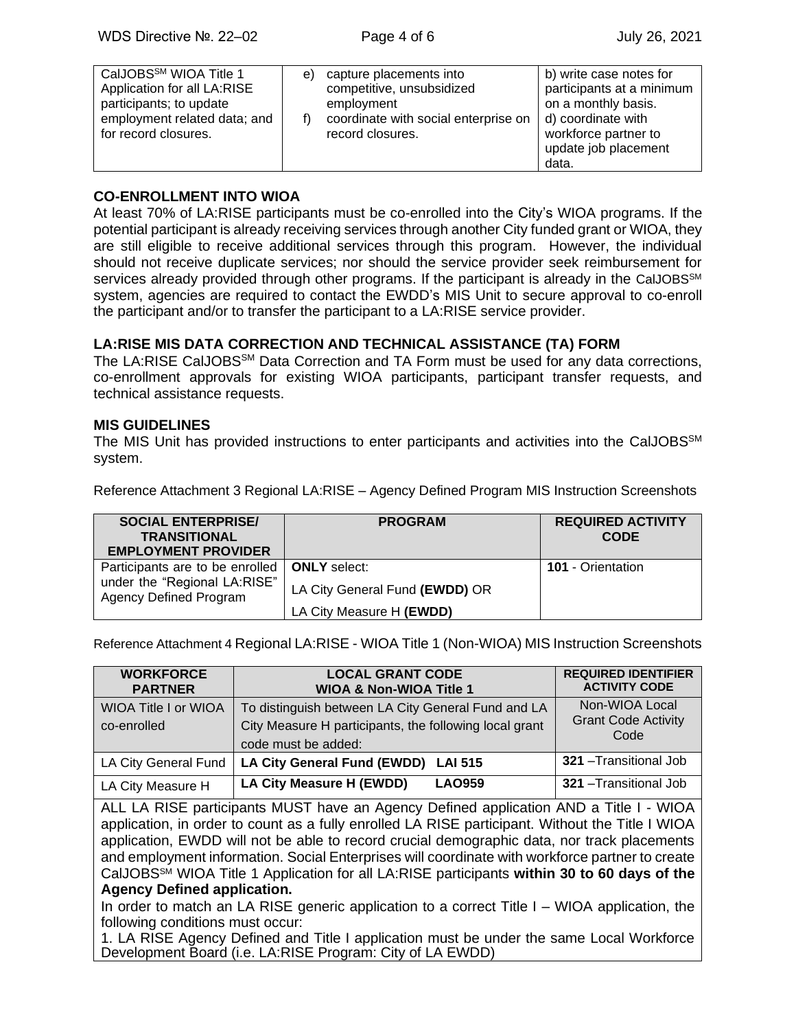| CalJOBS <sup>SM</sup> WIOA Title 1<br>Application for all LA:RISE<br>participants; to update<br>employment related data; and<br>for record closures. |
|------------------------------------------------------------------------------------------------------------------------------------------------------|
|------------------------------------------------------------------------------------------------------------------------------------------------------|

#### **CO-ENROLLMENT INTO WIOA**

At least 70% of LA:RISE participants must be co-enrolled into the City's WIOA programs. If the potential participant is already receiving services through another City funded grant or WIOA, they are still eligible to receive additional services through this program. However, the individual should not receive duplicate services; nor should the service provider seek reimbursement for services already provided through other programs. If the participant is already in the CalJOBS<sup>SM</sup> system, agencies are required to contact the EWDD's MIS Unit to secure approval to co-enroll the participant and/or to transfer the participant to a LA:RISE service provider.

#### **LA:RISE MIS DATA CORRECTION AND TECHNICAL ASSISTANCE (TA) FORM**

The LA:RISE CalJOBS<sup>SM</sup> Data Correction and TA Form must be used for any data corrections, co-enrollment approvals for existing WIOA participants, participant transfer requests, and technical assistance requests.

#### **MIS GUIDELINES**

The MIS Unit has provided instructions to enter participants and activities into the CalJOBS<sup>SM</sup> system.

Reference Attachment 3 Regional LA:RISE – Agency Defined Program MIS Instruction Screenshots

| <b>SOCIAL ENTERPRISE/</b><br><b>TRANSITIONAL</b><br><b>EMPLOYMENT PROVIDER</b> | <b>PROGRAM</b>                 | <b>REQUIRED ACTIVITY</b><br><b>CODE</b> |
|--------------------------------------------------------------------------------|--------------------------------|-----------------------------------------|
| Participants are to be enrolled                                                | <b>ONLY</b> select:            | <b>101</b> - Orientation                |
| under the "Regional LA:RISE"<br><b>Agency Defined Program</b>                  | LA City General Fund (EWDD) OR |                                         |
|                                                                                | LA City Measure H (EWDD)       |                                         |

Reference Attachment 4 Regional LA:RISE - WIOA Title 1 (Non-WIOA) MIS Instruction Screenshots

| <b>WORKFORCE</b><br><b>PARTNER</b>                                                                                                                                                                                                                                                                                                                                                                                                                                                                     | <b>LOCAL GRANT CODE</b><br><b>WIOA &amp; Non-WIOA Title 1</b> | <b>REQUIRED IDENTIFIER</b><br><b>ACTIVITY CODE</b> |  |
|--------------------------------------------------------------------------------------------------------------------------------------------------------------------------------------------------------------------------------------------------------------------------------------------------------------------------------------------------------------------------------------------------------------------------------------------------------------------------------------------------------|---------------------------------------------------------------|----------------------------------------------------|--|
| <b>WIOA Title I or WIOA</b>                                                                                                                                                                                                                                                                                                                                                                                                                                                                            | To distinguish between LA City General Fund and LA            | Non-WIOA Local                                     |  |
| co-enrolled                                                                                                                                                                                                                                                                                                                                                                                                                                                                                            | City Measure H participants, the following local grant        | <b>Grant Code Activity</b><br>Code                 |  |
|                                                                                                                                                                                                                                                                                                                                                                                                                                                                                                        | code must be added:                                           |                                                    |  |
| <b>LA City General Fund</b>                                                                                                                                                                                                                                                                                                                                                                                                                                                                            | LA City General Fund (EWDD)<br><b>LAI 515</b>                 | 321 - Transitional Job                             |  |
| LA City Measure H                                                                                                                                                                                                                                                                                                                                                                                                                                                                                      | LA City Measure H (EWDD)<br><b>LAO959</b>                     | <b>321</b> - Transitional Job                      |  |
| ALL LA RISE participants MUST have an Agency Defined application AND a Title I - WIOA<br>application, in order to count as a fully enrolled LA RISE participant. Without the Title I WIOA<br>application, EWDD will not be able to record crucial demographic data, nor track placements<br>and employment information. Social Enterprises will coordinate with workforce partner to create<br>CalJOBS <sup>5M</sup> WIOA Title 1 Application for all LA:RISE participants within 30 to 60 days of the |                                                               |                                                    |  |
| <b>Agency Defined application.</b><br>In order to match an LA RISE generic application to a correct Title $I - WIOA$ application, the                                                                                                                                                                                                                                                                                                                                                                  |                                                               |                                                    |  |
| following conditions must occur:<br>1. LA RISE Agency Defined and Title Lapplication must be under the same Local Workforce                                                                                                                                                                                                                                                                                                                                                                            |                                                               |                                                    |  |

1. LA RISE Agency Defined and Title I application must be under the same Local Workforce Development Board (i.e. LA:RISE Program: City of LA EWDD)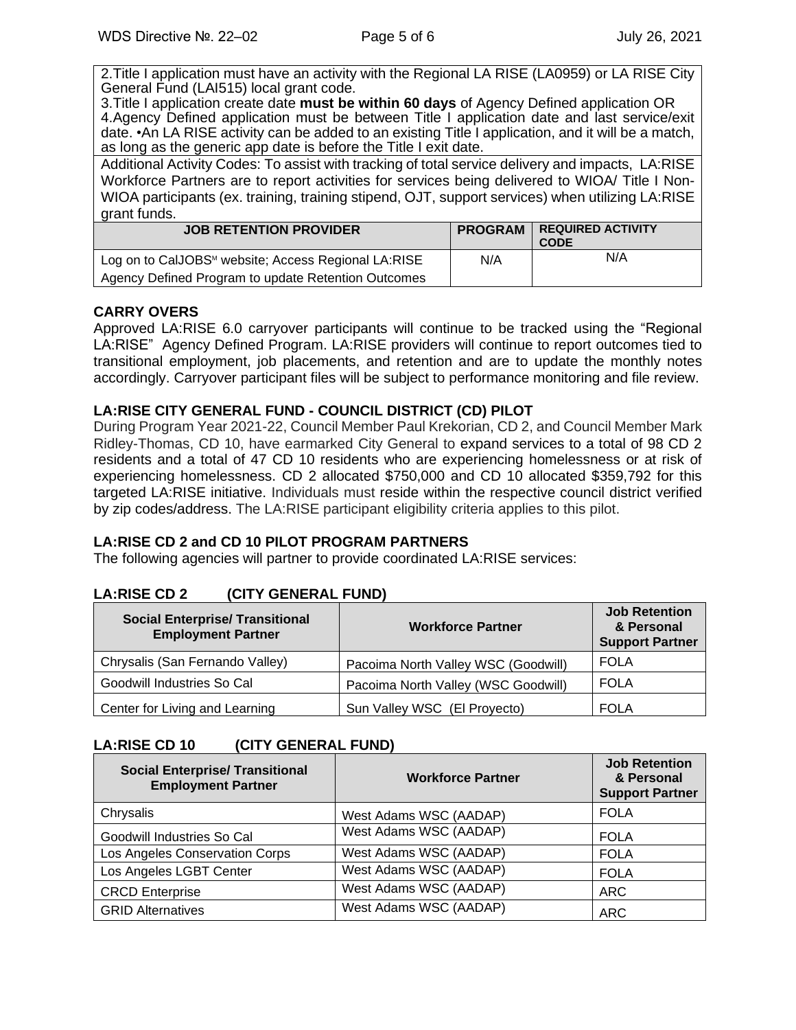2.Title I application must have an activity with the Regional LA RISE (LA0959) or LA RISE City General Fund (LAI515) local grant code.

3.Title I application create date **must be within 60 days** of Agency Defined application OR 4.Agency Defined application must be between Title I application date and last service/exit date. •An LA RISE activity can be added to an existing Title I application, and it will be a match, as long as the generic app date is before the Title I exit date.

Additional Activity Codes: To assist with tracking of total service delivery and impacts, LA:RISE Workforce Partners are to report activities for services being delivered to WIOA/ Title I Non-WIOA participants (ex. training, training stipend, OJT, support services) when utilizing LA:RISE grant funds.

| <b>JOB RETENTION PROVIDER</b>                                   | <b>PROGRAM</b> | <b>REQUIRED ACTIVITY</b><br><b>CODE</b> |
|-----------------------------------------------------------------|----------------|-----------------------------------------|
| Log on to CalJOBS <sup>™</sup> website; Access Regional LA:RISE | N/A            | N/A                                     |
| Agency Defined Program to update Retention Outcomes             |                |                                         |

# **CARRY OVERS**

Approved LA:RISE 6.0 carryover participants will continue to be tracked using the "Regional LA:RISE" Agency Defined Program. LA:RISE providers will continue to report outcomes tied to transitional employment, job placements, and retention and are to update the monthly notes accordingly. Carryover participant files will be subject to performance monitoring and file review.

## **LA:RISE CITY GENERAL FUND - COUNCIL DISTRICT (CD) PILOT**

During Program Year 2021-22, Council Member Paul Krekorian, CD 2, and Council Member Mark Ridley-Thomas, CD 10, have earmarked City General to expand services to a total of 98 CD 2 residents and a total of 47 CD 10 residents who are experiencing homelessness or at risk of experiencing homelessness. CD 2 allocated \$750,000 and CD 10 allocated \$359,792 for this targeted LA:RISE initiative. Individuals must reside within the respective council district verified by zip codes/address. The LA:RISE participant eligibility criteria applies to this pilot.

# **LA:RISE CD 2 and CD 10 PILOT PROGRAM PARTNERS**

The following agencies will partner to provide coordinated LA:RISE services:

# **LA:RISE CD 2 (CITY GENERAL FUND)**

| <b>Social Enterprise/ Transitional</b><br><b>Employment Partner</b> | <b>Workforce Partner</b>            | <b>Job Retention</b><br>& Personal<br><b>Support Partner</b> |
|---------------------------------------------------------------------|-------------------------------------|--------------------------------------------------------------|
| Chrysalis (San Fernando Valley)                                     | Pacoima North Valley WSC (Goodwill) | <b>FOLA</b>                                                  |
| Goodwill Industries So Cal                                          | Pacoima North Valley (WSC Goodwill) | FOLA                                                         |
| Center for Living and Learning                                      | Sun Valley WSC (El Proyecto)        | FOLA                                                         |

# **LA:RISE CD 10 (CITY GENERAL FUND)**

| <b>Social Enterprise/ Transitional</b><br><b>Employment Partner</b> | <b>Workforce Partner</b> | <b>Job Retention</b><br>& Personal<br><b>Support Partner</b> |
|---------------------------------------------------------------------|--------------------------|--------------------------------------------------------------|
| Chrysalis                                                           | West Adams WSC (AADAP)   | <b>FOLA</b>                                                  |
| Goodwill Industries So Cal                                          | West Adams WSC (AADAP)   | <b>FOLA</b>                                                  |
| Los Angeles Conservation Corps                                      | West Adams WSC (AADAP)   | <b>FOLA</b>                                                  |
| Los Angeles LGBT Center                                             | West Adams WSC (AADAP)   | <b>FOLA</b>                                                  |
| <b>CRCD Enterprise</b>                                              | West Adams WSC (AADAP)   | ARC                                                          |
| <b>GRID Alternatives</b>                                            | West Adams WSC (AADAP)   | <b>ARC</b>                                                   |